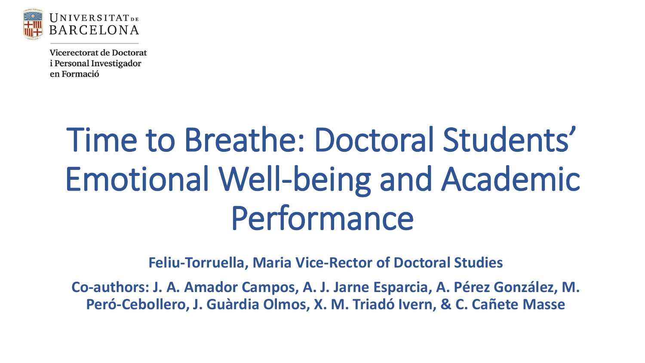

# Time to Breathe: Doctoral Students' Emotional Well-being and Academic Performance

**Feliu-Torruella, Maria Vice-Rector of Doctoral Studies**

**Co-authors: J. A. Amador Campos, A. J. Jarne Esparcia, A. Pérez González, M. Peró-Cebollero, J. Guàrdia Olmos, X. M. Triadó Ivern, & C. Cañete Masse**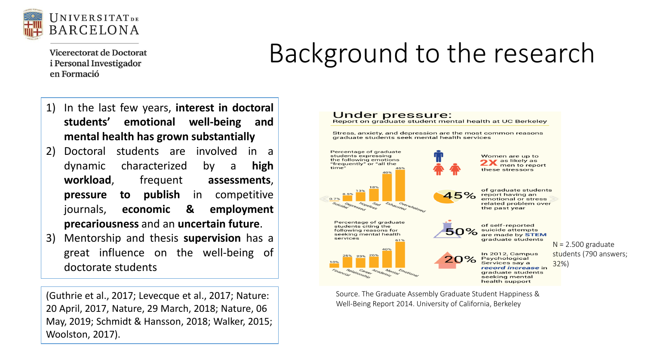

#### Background to the research

- 1) In the last few years, **interest in doctoral students' emotional well-being and mental health has grown substantially**
- 2) Doctoral students are involved in a dynamic characterized by a **high workload**, frequent **assessments**, **pressure to publish** in competitive journals, **economic & employment precariousness** and an **uncertain future**.
- 3) Mentorship and thesis **supervision** has a great influence on the well-being of doctorate students

(Guthrie et al., 2017; Levecque et al., 2017; Nature: 20 April, 2017, Nature, 29 March, 2018; Nature, 06 May, 2019; Schmidt & Hansson, 2018; Walker, 2015; Woolston, 2017).



Source. The Graduate Assembly Graduate Student Happiness & Well-Being Report 2014. University of California, Berkeley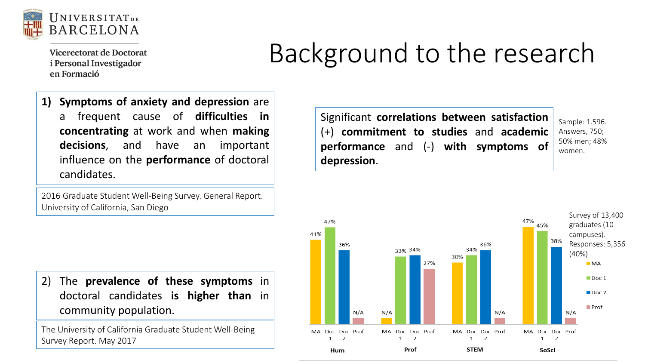

## Background to the research

**1) Symptoms of anxiety and depression** are a frequent cause of **difficulties in concentrating** at work and when **making decisions**, and have an important influence on the **performance** of doctoral candidates.

2016 Graduate Student Well-Being Survey. General Report. University of California, San Diego

Significant **correlations between satisfaction** (+) **commitment to studies** and **academic performance** and (-) **with symptoms of depression**.

Sample: 1.596. Answers, 750; 50% men; 48% women.



2) The **prevalence of these symptoms** in doctoral candidates **is higher than** in community population.

The University of California Graduate Student Well-Being Survey Report. May 2017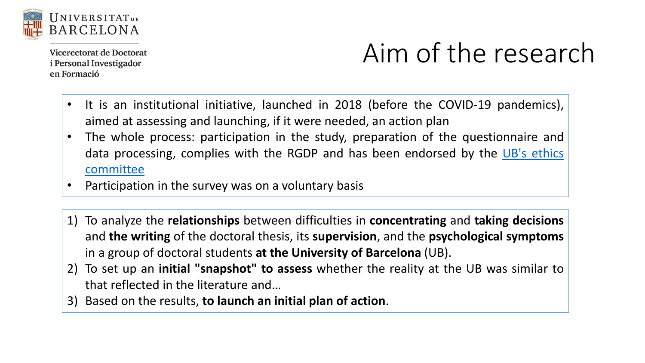

## Aim of the research

- It is an institutional initiative, launched in 2018 (before the COVID-19 pandemics), aimed at assessing and launching, if it were needed, an action plan
- The whole process: participation in the study, preparation of the questionnaire and data [processing,](http://www.ub.edu/comissiobioetica/en) complies with the RGDP and has been endorsed by the UB's ethics committee
- Participation in the survey was on a voluntary basis
- 1) To analyze the **relationships** between difficulties in **concentrating** and **taking decisions** and **the writing** of the doctoral thesis, its **supervision**, and the **psychological symptoms** in a group of doctoral students **at the University of Barcelona** (UB).
- 2) To set up an **initial "snapshot" to assess** whether the reality at the UB was similar to that reflected in the literature and…
- 3) Based on the results, **to launch an initial plan of action**.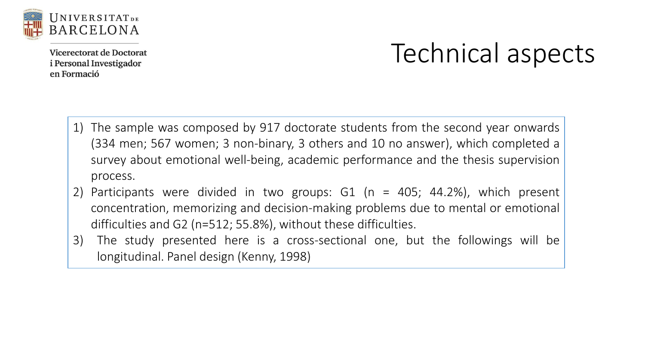

#### Technical aspects

- 1) The sample was composed by 917 doctorate students from the second year onwards (334 men; 567 women; 3 non-binary, 3 others and 10 no answer), which completed a survey about emotional well-being, academic performance and the thesis supervision process.
- 2) Participants were divided in two groups: G1 (n = 405; 44.2%), which present concentration, memorizing and decision-making problems due to mental or emotional difficulties and G2 (n=512; 55.8%), without these difficulties.
- 3) The study presented here is a cross-sectional one, but the followings will be longitudinal. Panel design (Kenny, 1998)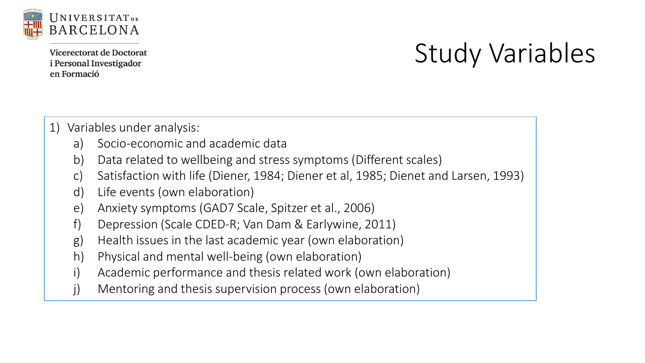

## Study Variables

- 1) Variables under analysis:
	- a) Socio-economic and academic data
	- b) Data related to wellbeing and stress symptoms (Different scales)
	- c) Satisfaction with life (Diener, 1984; Diener et al, 1985; Dienet and Larsen, 1993)
	- d) Life events (own elaboration)
	- e) Anxiety symptoms (GAD7 Scale, Spitzer et al., 2006)
	- f) Depression (Scale CDED-R; Van Dam & Earlywine, 2011)
	- g) Health issues in the last academic year (own elaboration)
	- h) Physical and mental well-being (own elaboration)
	- i) Academic performance and thesis related work (own elaboration)
	- j) Mentoring and thesis supervision process (own elaboration)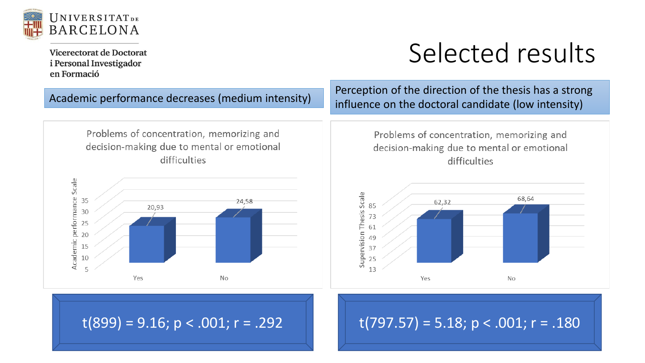

#### Selected results

Academic performance decreases (medium intensity)

Problems of concentration, memorizing and decision-making due to mental or emotional difficulties



Perception of the direction of the thesis has a strong influence on the doctoral candidate (low intensity)

> Problems of concentration, memorizing and decision-making due to mental or emotional difficulties



 $t(899) = 9.16$ ; p < .001; r = .292  $t(797.57) = 5.18$ ; p < .001; r = .180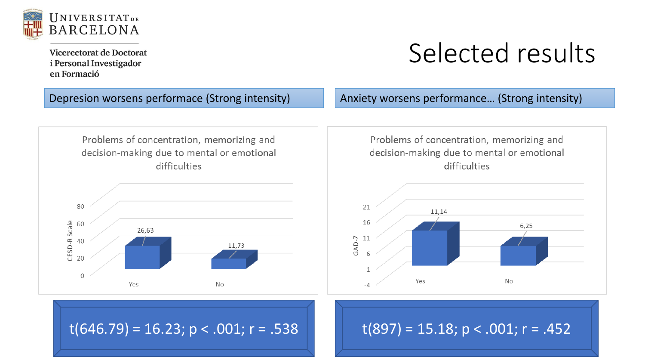

#### Selected results



 $t(646.79) = 16.23$ ; p < .001; r = .538 t(897) = 15.18; p < .001; r = .452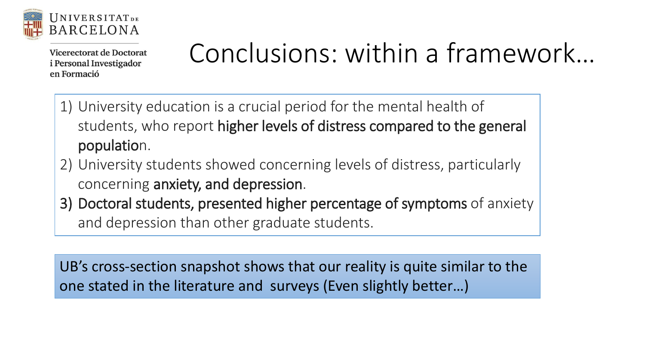

# Conclusions: within a framework…

- 1) University education is a crucial period for the mental health of students, who report higher levels of distress compared to the general population.
- 2) University students showed concerning levels of distress, particularly concerning anxiety, and depression.
- 3) Doctoral students, presented higher percentage of symptoms of anxiety and depression than other graduate students.

UB's cross-section snapshot shows that our reality is quite similar to the one stated in the literature and surveys (Even slightly better…)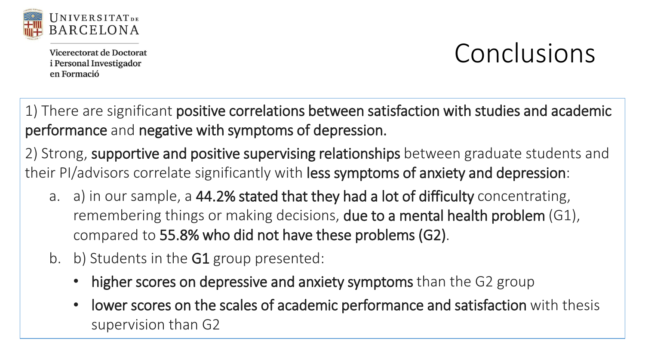

#### Conclusions

1) There are significant positive correlations between satisfaction with studies and academic performance and negative with symptoms of depression.

2) Strong, supportive and positive supervising relationships between graduate students and their PI/advisors correlate significantly with less symptoms of anxiety and depression:

- a. a) in our sample, a 44.2% stated that they had a lot of difficulty concentrating, remembering things or making decisions, due to a mental health problem (G1), compared to 55.8% who did not have these problems (G2).
- b. b) Students in the **G1** group presented:
	- higher scores on depressive and anxiety symptoms than the G2 group
	- lower scores on the scales of academic performance and satisfaction with thesis supervision than G2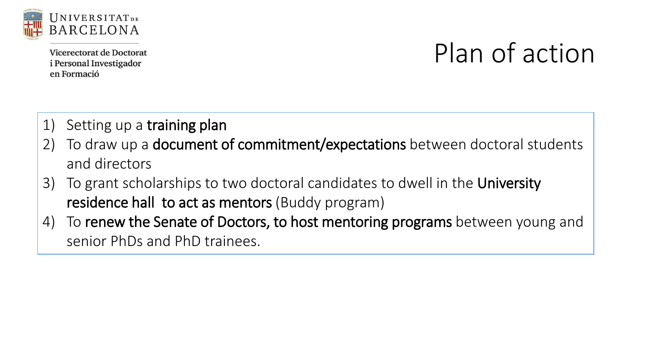

#### Plan of action

- 1) Setting up a training plan
- 2) To draw up a **document of commitment/expectations** between doctoral students and directors
- 3) To grant scholarships to two doctoral candidates to dwell in the University residence hall to act as mentors (Buddy program)
- 4) To renew the Senate of Doctors, to host mentoring programs between young and senior PhDs and PhD trainees.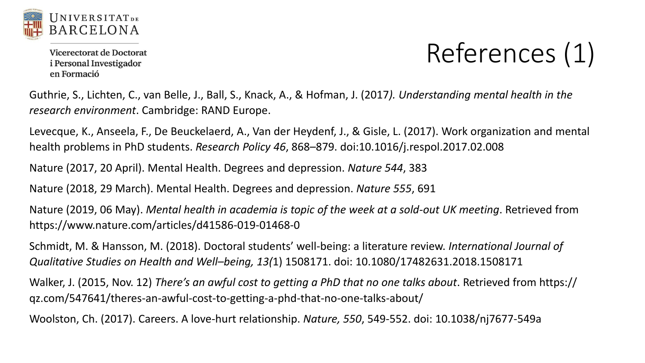

# References (1)

Guthrie, S., Lichten, C., van Belle, J., Ball, S., Knack, A., & Hofman, J. (2017*). Understanding mental health in the research environment*. Cambridge: RAND Europe.

Levecque, K., Anseela, F., De Beuckelaerd, A., Van der Heydenf, J., & Gisle, L. (2017). Work organization and mental health problems in PhD students. *Research Policy 46*, 868–879. doi:10.1016/j.respol.2017.02.008

Nature (2017, 20 April). Mental Health. Degrees and depression. *Nature 544*, 383

Nature (2018, 29 March). Mental Health. Degrees and depression. *Nature 555*, 691

Nature (2019, 06 May). *Mental health in academia is topic of the week at a sold-out UK meeting*. Retrieved from https://www.nature.com/articles/d41586-019-01468-0

Schmidt, M. & Hansson, M. (2018). Doctoral students' well-being: a literature review. *International Journal of Qualitative Studies on Health and Well–being, 13(*1) 1508171. doi: 10.1080/17482631.2018.1508171

Walker, J. (2015, Nov. 12) *There's an awful cost to getting a PhD that no one talks about*. Retrieved from https:// qz.com/547641/theres-an-awful-cost-to-getting-a-phd-that-no-one-talks-about/

Woolston, Ch. (2017). Careers. A love-hurt relationship. *Nature, 550*, 549-552. doi: 10.1038/nj7677-549a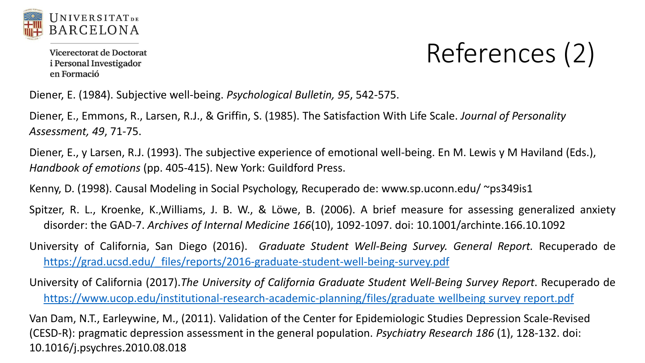

# References (2)

Diener, E. (1984). Subjective well-being. *Psychological Bulletin, 95*, 542-575.

Diener, E., Emmons, R., Larsen, R.J., & Griffin, S. (1985). The Satisfaction With Life Scale. *Journal of Personality Assessment, 49*, 71-75.

Diener, E., y Larsen, R.J. (1993). The subjective experience of emotional well-being. En M. Lewis y M Haviland (Eds.), *Handbook of emotions* (pp. 405-415). New York: Guildford Press.

Kenny, D. (1998). Causal Modeling in Social Psychology, Recuperado de: www.sp.uconn.edu/ ~ps349is1

Spitzer, R. L., Kroenke, K.,Williams, J. B. W., & Löwe, B. (2006). A brief measure for assessing generalized anxiety disorder: the GAD-7. *Archives of Internal Medicine 166*(10), 1092-1097. doi: 10.1001/archinte.166.10.1092

University of California, San Diego (2016). *Graduate Student Well-Being Survey. General Report.* Recuperado de [https://grad.ucsd.edu/\\_files/reports/2016-graduate-student-well-being-survey.pdf](https://grad.ucsd.edu/_files/reports/2016-graduate-student-well-being-survey.pdf)

University of California (2017).*The University of California Graduate Student Well-Being Survey Report*. Recuperado de [https://www.ucop.edu/institutional-research-academic-planning/files/graduate](https://www.ucop.edu/institutional-research-academic-planning/files/graduate%20wellbeing%20survey%20report.pdf) wellbeing survey report.pdf

Van Dam, N.T., Earleywine, M., (2011). Validation of the Center for Epidemiologic Studies Depression Scale-Revised (CESD-R): pragmatic depression assessment in the general population. *Psychiatry Research 186* (1), 128-132. doi: 10.1016/j.psychres.2010.08.018